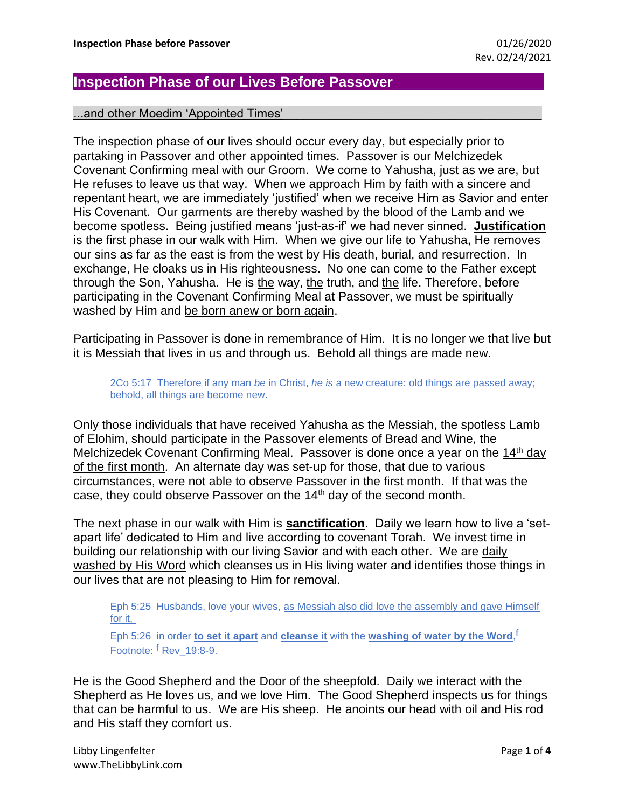## **Inspection Phase of our Lives Before Passover\_\_\_\_\_\_\_\_\_\_\_\_\_\_\_\_\_\_\_**

## ...and other Moedim 'Appointed Times'

The inspection phase of our lives should occur every day, but especially prior to partaking in Passover and other appointed times. Passover is our Melchizedek Covenant Confirming meal with our Groom. We come to Yahusha, just as we are, but He refuses to leave us that way. When we approach Him by faith with a sincere and repentant heart, we are immediately 'justified' when we receive Him as Savior and enter His Covenant. Our garments are thereby washed by the blood of the Lamb and we become spotless. Being justified means 'just-as-if' we had never sinned. **Justification** is the first phase in our walk with Him. When we give our life to Yahusha, He removes our sins as far as the east is from the west by His death, burial, and resurrection. In exchange, He cloaks us in His righteousness. No one can come to the Father except through the Son, Yahusha. He is the way, the truth, and the life. Therefore, before participating in the Covenant Confirming Meal at Passover, we must be spiritually washed by Him and be born anew or born again.

Participating in Passover is done in remembrance of Him. It is no longer we that live but it is Messiah that lives in us and through us. Behold all things are made new.

2Co 5:17 Therefore if any man *be* in Christ, *he is* a new creature: old things are passed away; behold, all things are become new.

Only those individuals that have received Yahusha as the Messiah, the spotless Lamb of Elohim, should participate in the Passover elements of Bread and Wine, the Melchizedek Covenant Confirming Meal. Passover is done once a year on the 14<sup>th</sup> day of the first month. An alternate day was set-up for those, that due to various circumstances, were not able to observe Passover in the first month. If that was the case, they could observe Passover on the 14<sup>th</sup> day of the second month.

The next phase in our walk with Him is **sanctification**. Daily we learn how to live a 'setapart life' dedicated to Him and live according to covenant Torah. We invest time in building our relationship with our living Savior and with each other. We are daily washed by His Word which cleanses us in His living water and identifies those things in our lives that are not pleasing to Him for removal.

Eph 5:25 Husbands, love your wives, as Messiah also did love the assembly and gave Himself for it,

Eph 5:26 in order **to set it apart** and **cleanse it** with the **washing of water by the Word**, f Footnote: <sup>f</sup> Rev 19:8-9.

He is the Good Shepherd and the Door of the sheepfold. Daily we interact with the Shepherd as He loves us, and we love Him. The Good Shepherd inspects us for things that can be harmful to us. We are His sheep. He anoints our head with oil and His rod and His staff they comfort us.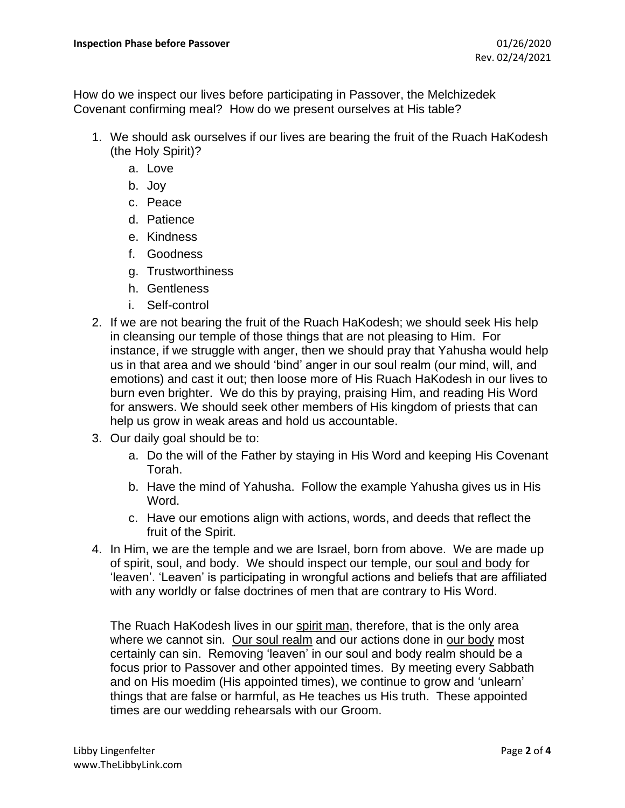How do we inspect our lives before participating in Passover, the Melchizedek Covenant confirming meal? How do we present ourselves at His table?

- 1. We should ask ourselves if our lives are bearing the fruit of the Ruach HaKodesh (the Holy Spirit)?
	- a. Love
	- b. Joy
	- c. Peace
	- d. Patience
	- e. Kindness
	- f. Goodness
	- g. Trustworthiness
	- h. Gentleness
	- i. Self-control
- 2. If we are not bearing the fruit of the Ruach HaKodesh; we should seek His help in cleansing our temple of those things that are not pleasing to Him. For instance, if we struggle with anger, then we should pray that Yahusha would help us in that area and we should 'bind' anger in our soul realm (our mind, will, and emotions) and cast it out; then loose more of His Ruach HaKodesh in our lives to burn even brighter. We do this by praying, praising Him, and reading His Word for answers. We should seek other members of His kingdom of priests that can help us grow in weak areas and hold us accountable.
- 3. Our daily goal should be to:
	- a. Do the will of the Father by staying in His Word and keeping His Covenant Torah.
	- b. Have the mind of Yahusha. Follow the example Yahusha gives us in His Word.
	- c. Have our emotions align with actions, words, and deeds that reflect the fruit of the Spirit.
- 4. In Him, we are the temple and we are Israel, born from above. We are made up of spirit, soul, and body. We should inspect our temple, our soul and body for 'leaven'. 'Leaven' is participating in wrongful actions and beliefs that are affiliated with any worldly or false doctrines of men that are contrary to His Word.

The Ruach HaKodesh lives in our spirit man, therefore, that is the only area where we cannot sin. Our soul realm and our actions done in our body most certainly can sin. Removing 'leaven' in our soul and body realm should be a focus prior to Passover and other appointed times. By meeting every Sabbath and on His moedim (His appointed times), we continue to grow and 'unlearn' things that are false or harmful, as He teaches us His truth. These appointed times are our wedding rehearsals with our Groom.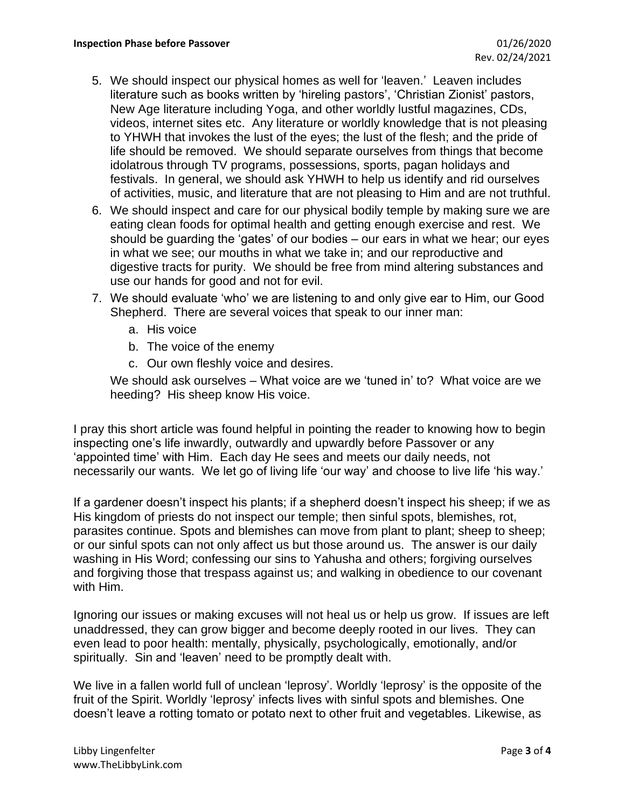- 5. We should inspect our physical homes as well for 'leaven.' Leaven includes literature such as books written by 'hireling pastors', 'Christian Zionist' pastors, New Age literature including Yoga, and other worldly lustful magazines, CDs, videos, internet sites etc. Any literature or worldly knowledge that is not pleasing to YHWH that invokes the lust of the eyes; the lust of the flesh; and the pride of life should be removed. We should separate ourselves from things that become idolatrous through TV programs, possessions, sports, pagan holidays and festivals. In general, we should ask YHWH to help us identify and rid ourselves of activities, music, and literature that are not pleasing to Him and are not truthful.
- 6. We should inspect and care for our physical bodily temple by making sure we are eating clean foods for optimal health and getting enough exercise and rest. We should be guarding the 'gates' of our bodies – our ears in what we hear; our eyes in what we see; our mouths in what we take in; and our reproductive and digestive tracts for purity. We should be free from mind altering substances and use our hands for good and not for evil.
- 7. We should evaluate 'who' we are listening to and only give ear to Him, our Good Shepherd. There are several voices that speak to our inner man:
	- a. His voice
	- b. The voice of the enemy
	- c. Our own fleshly voice and desires.

We should ask ourselves – What voice are we 'tuned in' to? What voice are we heeding? His sheep know His voice.

I pray this short article was found helpful in pointing the reader to knowing how to begin inspecting one's life inwardly, outwardly and upwardly before Passover or any 'appointed time' with Him. Each day He sees and meets our daily needs, not necessarily our wants. We let go of living life 'our way' and choose to live life 'his way.'

If a gardener doesn't inspect his plants; if a shepherd doesn't inspect his sheep; if we as His kingdom of priests do not inspect our temple; then sinful spots, blemishes, rot, parasites continue. Spots and blemishes can move from plant to plant; sheep to sheep; or our sinful spots can not only affect us but those around us. The answer is our daily washing in His Word; confessing our sins to Yahusha and others; forgiving ourselves and forgiving those that trespass against us; and walking in obedience to our covenant with Him.

Ignoring our issues or making excuses will not heal us or help us grow. If issues are left unaddressed, they can grow bigger and become deeply rooted in our lives. They can even lead to poor health: mentally, physically, psychologically, emotionally, and/or spiritually. Sin and 'leaven' need to be promptly dealt with.

We live in a fallen world full of unclean 'leprosy'. Worldly 'leprosy' is the opposite of the fruit of the Spirit. Worldly 'leprosy' infects lives with sinful spots and blemishes. One doesn't leave a rotting tomato or potato next to other fruit and vegetables. Likewise, as